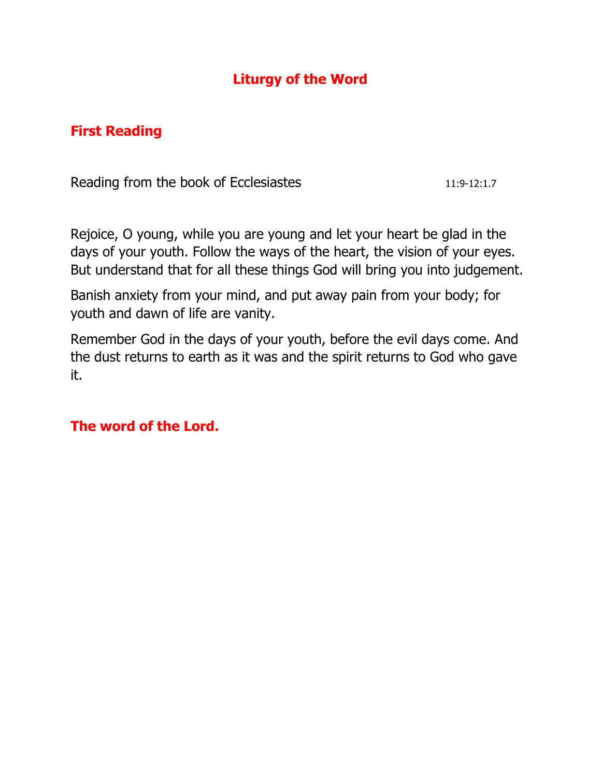# **Liturgy of the Word**

## **First Reading**

Reading from the book of Ecclesiastes 11:9-12:1.7

Rejoice, O young, while you are young and let your heart be glad in the days of your youth. Follow the ways of the heart, the vision of your eyes. But understand that for all these things God will bring you into judgement.

Banish anxiety from your mind, and put away pain from your body; for youth and dawn of life are vanity.

Remember God in the days of your youth, before the evil days come. And the dust returns to earth as it was and the spirit returns to God who gave it.

#### **The word of the Lord.**